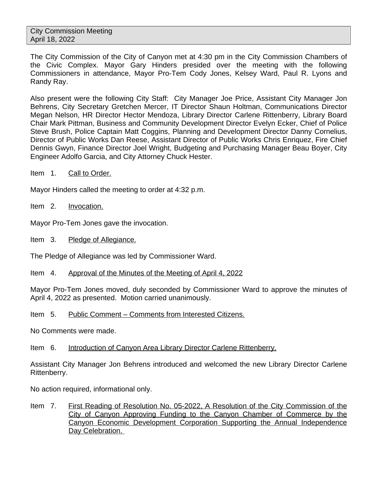The City Commission of the City of Canyon met at 4:30 pm in the City Commission Chambers of the Civic Complex. Mayor Gary Hinders presided over the meeting with the following Commissioners in attendance, Mayor Pro-Tem Cody Jones, Kelsey Ward, Paul R. Lyons and Randy Ray.

Also present were the following City Staff: City Manager Joe Price, Assistant City Manager Jon Behrens, City Secretary Gretchen Mercer, IT Director Shaun Holtman, Communications Director Megan Nelson, HR Director Hector Mendoza, Library Director Carlene Rittenberry, Library Board Chair Mark Pittman, Business and Community Development Director Evelyn Ecker, Chief of Police Steve Brush, Police Captain Matt Coggins, Planning and Development Director Danny Cornelius, Director of Public Works Dan Reese, Assistant Director of Public Works Chris Enriquez, Fire Chief Dennis Gwyn, Finance Director Joel Wright, Budgeting and Purchasing Manager Beau Boyer, City Engineer Adolfo Garcia, and City Attorney Chuck Hester.

Item 1. Call to Order.

Mayor Hinders called the meeting to order at 4:32 p.m.

Item 2. Invocation.

Mayor Pro-Tem Jones gave the invocation.

Item 3. Pledge of Allegiance.

The Pledge of Allegiance was led by Commissioner Ward.

Item 4. Approval of the Minutes of the Meeting of April 4, 2022

Mayor Pro-Tem Jones moved, duly seconded by Commissioner Ward to approve the minutes of April 4, 2022 as presented. Motion carried unanimously.

Item 5. Public Comment – Comments from Interested Citizens.

No Comments were made.

Item 6. Introduction of Canyon Area Library Director Carlene Rittenberry.

Assistant City Manager Jon Behrens introduced and welcomed the new Library Director Carlene Rittenberry.

No action required, informational only.

Item 7. First Reading of Resolution No. 05-2022, A Resolution of the City Commission of the City of Canyon Approving Funding to the Canyon Chamber of Commerce by the Canyon Economic Development Corporation Supporting the Annual Independence Day Celebration.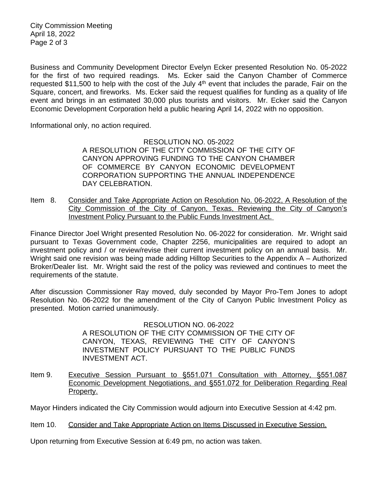City Commission Meeting April 18, 2022 Page 2 of 3

Business and Community Development Director Evelyn Ecker presented Resolution No. 05-2022 for the first of two required readings. Ms. Ecker said the Canyon Chamber of Commerce requested \$11,500 to help with the cost of the July  $4<sup>th</sup>$  event that includes the parade, Fair on the Square, concert, and fireworks. Ms. Ecker said the request qualifies for funding as a quality of life event and brings in an estimated 30,000 plus tourists and visitors. Mr. Ecker said the Canyon Economic Development Corporation held a public hearing April 14, 2022 with no opposition.

Informational only, no action required.

RESOLUTION NO. 05-2022 A RESOLUTION OF THE CITY COMMISSION OF THE CITY OF CANYON APPROVING FUNDING TO THE CANYON CHAMBER OF COMMERCE BY CANYON ECONOMIC DEVELOPMENT CORPORATION SUPPORTING THE ANNUAL INDEPENDENCE DAY CELEBRATION.

Item 8. Consider and Take Appropriate Action on Resolution No. 06-2022, A Resolution of the City Commission of the City of Canyon, Texas, Reviewing the City of Canyon's Investment Policy Pursuant to the Public Funds Investment Act.

Finance Director Joel Wright presented Resolution No. 06-2022 for consideration. Mr. Wright said pursuant to Texas Government code, Chapter 2256, municipalities are required to adopt an investment policy and / or review/revise their current investment policy on an annual basis. Mr. Wright said one revision was being made adding Hilltop Securities to the Appendix A – Authorized Broker/Dealer list. Mr. Wright said the rest of the policy was reviewed and continues to meet the requirements of the statute.

After discussion Commissioner Ray moved, duly seconded by Mayor Pro-Tem Jones to adopt Resolution No. 06-2022 for the amendment of the City of Canyon Public Investment Policy as presented. Motion carried unanimously.

> RESOLUTION NO. 06-2022 A RESOLUTION OF THE CITY COMMISSION OF THE CITY OF CANYON, TEXAS, REVIEWING THE CITY OF CANYON'S INVESTMENT POLICY PURSUANT TO THE PUBLIC FUNDS INVESTMENT ACT.

Item 9. Executive Session Pursuant to §551.071 Consultation with Attorney, §551.087 Economic Development Negotiations, and §551.072 for Deliberation Regarding Real Property.

Mayor Hinders indicated the City Commission would adjourn into Executive Session at 4:42 pm.

Item 10. Consider and Take Appropriate Action on Items Discussed in Executive Session.

Upon returning from Executive Session at 6:49 pm, no action was taken.